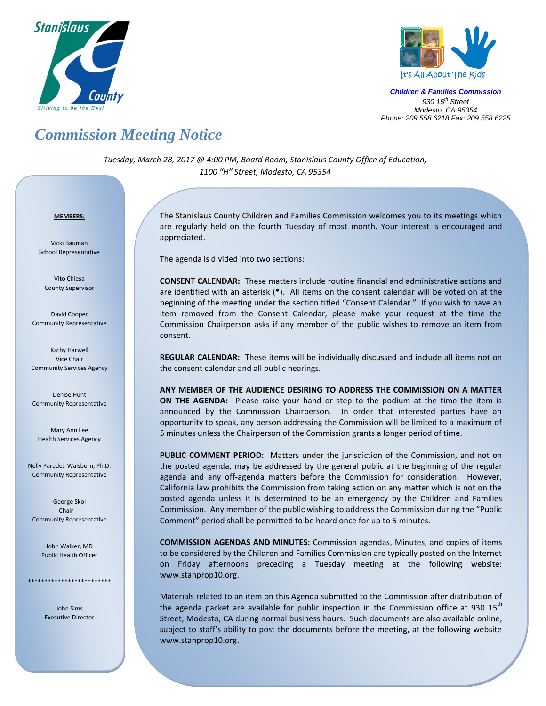



*Children & Families Commission 930 15 th Street Modesto, CA 95354 Phone: 209.558.6218 Fax: 209.558.6225*

## *Commission Meeting Notice*

*Tuesday, March 28, 2017 @ 4:00 PM, Board Room, Stanislaus County Office of Education, 1100 "H" Street, Modesto, CA 95354*

## *<sup>U</sup>***MEMBERS:**

Vicki Bauman School Representative

Vito Chiesa County Supervisor

David Cooper Community Representative

Kathy Harwell Vice Chair Community Services Agency

Denise Hunt Community Representative

Mary Ann Lee Health Services Agency

Nelly Paredes-Walsborn, Ph.D. Community Representative

George Skol Chair Community Representative

> John Walker, MD Public Health Officer

\*\*\*\*\*\*\*\*\*\*\*\*\*\*\*\*\*\*\*\*\*\*\*\*\*

John Sims Executive Director The Stanislaus County Children and Families Commission welcomes you to its meetings which are regularly held on the fourth Tuesday of most month. Your interest is encouraged and appreciated.

The agenda is divided into two sections:

**CONSENT CALENDAR:** These matters include routine financial and administrative actions and are identified with an asterisk (\*). All items on the consent calendar will be voted on at the beginning of the meeting under the section titled "Consent Calendar." If you wish to have an item removed from the Consent Calendar, please make your request at the time the Commission Chairperson asks if any member of the public wishes to remove an item from consent.

**REGULAR CALENDAR:** These items will be individually discussed and include all items not on the consent calendar and all public hearings.

**ANY MEMBER OF THE AUDIENCE DESIRING TO ADDRESS THE COMMISSION ON A MATTER ON THE AGENDA:** Please raise your hand or step to the podium at the time the item is announced by the Commission Chairperson. In order that interested parties have an opportunity to speak, any person addressing the Commission will be limited to a maximum of 5 minutes unless the Chairperson of the Commission grants a longer period of time.

**PUBLIC COMMENT PERIOD:** Matters under the jurisdiction of the Commission, and not on the posted agenda, may be addressed by the general public at the beginning of the regular agenda and any off-agenda matters before the Commission for consideration. However, California law prohibits the Commission from taking action on any matter which is not on the posted agenda unless it is determined to be an emergency by the Children and Families Commission. Any member of the public wishing to address the Commission during the "Public Comment" period shall be permitted to be heard once for up to 5 minutes.

**COMMISSION AGENDAS AND MINUTES:** Commission agendas, Minutes, and copies of items to be considered by the Children and Families Commission are typically posted on the Internet on Friday afternoons preceding a Tuesday meeting at the following website: [www.stanprop10.org](http://www.stanprop10.org/).

Materials related to an item on this Agenda submitted to the Commission after distribution of the agenda packet are available for public inspection in the Commission office at 930 15<sup>th</sup> Street, Modesto, CA during normal business hours. Such documents are also available online, subject to staff's ability to post the documents before the meeting, at the following website [www.stanprop10.org](http://www.stanprop10.org/).